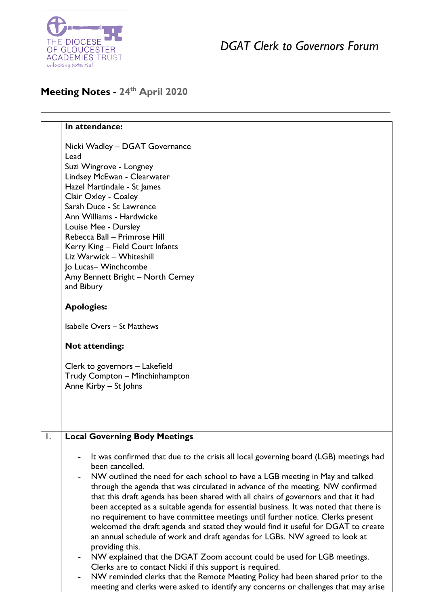

## *DGAT Clerk to Governors Forum*

## **Meeting Notes - 24 th April 2020**

|                  | In attendance:                                                                                                                                                                                                                                                                                                                                                                                                    |                                                                                      |
|------------------|-------------------------------------------------------------------------------------------------------------------------------------------------------------------------------------------------------------------------------------------------------------------------------------------------------------------------------------------------------------------------------------------------------------------|--------------------------------------------------------------------------------------|
|                  | Nicki Wadley - DGAT Governance<br>Lead<br>Suzi Wingrove - Longney<br>Lindsey McEwan - Clearwater<br>Hazel Martindale - St James<br>Clair Oxley - Coaley<br>Sarah Duce - St Lawrence<br>Ann Williams - Hardwicke<br>Louise Mee - Dursley<br>Rebecca Ball - Primrose Hill<br>Kerry King - Field Court Infants<br>Liz Warwick - Whiteshill<br>Jo Lucas-Winchcombe<br>Amy Bennett Bright - North Cerney<br>and Bibury |                                                                                      |
|                  | <b>Apologies:</b>                                                                                                                                                                                                                                                                                                                                                                                                 |                                                                                      |
|                  |                                                                                                                                                                                                                                                                                                                                                                                                                   |                                                                                      |
|                  | Isabelle Overs - St Matthews                                                                                                                                                                                                                                                                                                                                                                                      |                                                                                      |
|                  | <b>Not attending:</b>                                                                                                                                                                                                                                                                                                                                                                                             |                                                                                      |
|                  | Clerk to governors - Lakefield<br>Trudy Compton - Minchinhampton<br>Anne Kirby - St Johns                                                                                                                                                                                                                                                                                                                         |                                                                                      |
| $\overline{I}$ . | <b>Local Governing Body Meetings</b>                                                                                                                                                                                                                                                                                                                                                                              |                                                                                      |
|                  | been cancelled.                                                                                                                                                                                                                                                                                                                                                                                                   | It was confirmed that due to the crisis all local governing board (LGB) meetings had |

- NW outlined the need for each school to have a LGB meeting in May and talked through the agenda that was circulated in advance of the meeting. NW confirmed that this draft agenda has been shared with all chairs of governors and that it had been accepted as a suitable agenda for essential business. It was noted that there is no requirement to have committee meetings until further notice. Clerks present welcomed the draft agenda and stated they would find it useful for DGAT to create an annual schedule of work and draft agendas for LGBs. NW agreed to look at providing this.
- NW explained that the DGAT Zoom account could be used for LGB meetings. Clerks are to contact Nicki if this support is required.
- NW reminded clerks that the Remote Meeting Policy had been shared prior to the meeting and clerks were asked to identify any concerns or challenges that may arise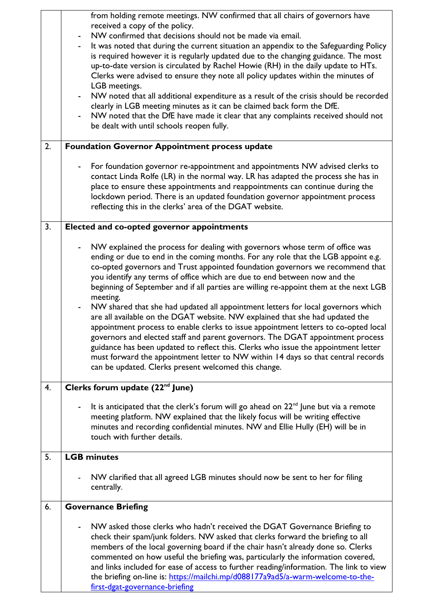|    | from holding remote meetings. NW confirmed that all chairs of governors have<br>received a copy of the policy.<br>NW confirmed that decisions should not be made via email.<br>$\qquad \qquad \blacksquare$<br>It was noted that during the current situation an appendix to the Safeguarding Policy<br>is required however it is regularly updated due to the changing guidance. The most<br>up-to-date version is circulated by Rachel Howie (RH) in the daily update to HTs.<br>Clerks were advised to ensure they note all policy updates within the minutes of<br>LGB meetings.<br>NW noted that all additional expenditure as a result of the crisis should be recorded<br>$\qquad \qquad \blacksquare$<br>clearly in LGB meeting minutes as it can be claimed back form the DfE.<br>NW noted that the DfE have made it clear that any complaints received should not<br>be dealt with until schools reopen fully.                                                                                                                        |  |
|----|-------------------------------------------------------------------------------------------------------------------------------------------------------------------------------------------------------------------------------------------------------------------------------------------------------------------------------------------------------------------------------------------------------------------------------------------------------------------------------------------------------------------------------------------------------------------------------------------------------------------------------------------------------------------------------------------------------------------------------------------------------------------------------------------------------------------------------------------------------------------------------------------------------------------------------------------------------------------------------------------------------------------------------------------------|--|
| 2. | <b>Foundation Governor Appointment process update</b>                                                                                                                                                                                                                                                                                                                                                                                                                                                                                                                                                                                                                                                                                                                                                                                                                                                                                                                                                                                           |  |
|    | For foundation governor re-appointment and appointments NW advised clerks to<br>$\overline{\phantom{0}}$<br>contact Linda Rolfe (LR) in the normal way. LR has adapted the process she has in<br>place to ensure these appointments and reappointments can continue during the<br>lockdown period. There is an updated foundation governor appointment process<br>reflecting this in the clerks' area of the DGAT website.                                                                                                                                                                                                                                                                                                                                                                                                                                                                                                                                                                                                                      |  |
| 3. | Elected and co-opted governor appointments                                                                                                                                                                                                                                                                                                                                                                                                                                                                                                                                                                                                                                                                                                                                                                                                                                                                                                                                                                                                      |  |
|    | NW explained the process for dealing with governors whose term of office was<br>$\overline{\phantom{a}}$<br>ending or due to end in the coming months. For any role that the LGB appoint e.g.<br>co-opted governors and Trust appointed foundation governors we recommend that<br>you identify any terms of office which are due to end between now and the<br>beginning of September and if all parties are willing re-appoint them at the next LGB<br>meeting.<br>NW shared that she had updated all appointment letters for local governors which<br>are all available on the DGAT website. NW explained that she had updated the<br>appointment process to enable clerks to issue appointment letters to co-opted local<br>governors and elected staff and parent governors. The DGAT appointment process<br>guidance has been updated to reflect this. Clerks who issue the appointment letter<br>must forward the appointment letter to NW within 14 days so that central records<br>can be updated. Clerks present welcomed this change. |  |
| 4. | Clerks forum update (22 <sup>nd</sup> June)                                                                                                                                                                                                                                                                                                                                                                                                                                                                                                                                                                                                                                                                                                                                                                                                                                                                                                                                                                                                     |  |
|    | It is anticipated that the clerk's forum will go ahead on $22^{nd}$ June but via a remote<br>$\qquad \qquad \blacksquare$<br>meeting platform. NW explained that the likely focus will be writing effective<br>minutes and recording confidential minutes. NW and Ellie Hully (EH) will be in<br>touch with further details.                                                                                                                                                                                                                                                                                                                                                                                                                                                                                                                                                                                                                                                                                                                    |  |
| 5. | <b>LGB</b> minutes                                                                                                                                                                                                                                                                                                                                                                                                                                                                                                                                                                                                                                                                                                                                                                                                                                                                                                                                                                                                                              |  |
|    | NW clarified that all agreed LGB minutes should now be sent to her for filing<br>centrally.                                                                                                                                                                                                                                                                                                                                                                                                                                                                                                                                                                                                                                                                                                                                                                                                                                                                                                                                                     |  |
| 6. | <b>Governance Briefing</b>                                                                                                                                                                                                                                                                                                                                                                                                                                                                                                                                                                                                                                                                                                                                                                                                                                                                                                                                                                                                                      |  |
|    | NW asked those clerks who hadn't received the DGAT Governance Briefing to<br>check their spam/junk folders. NW asked that clerks forward the briefing to all<br>members of the local governing board if the chair hasn't already done so. Clerks<br>commented on how useful the briefing was, particularly the information covered,<br>and links included for ease of access to further reading/information. The link to view<br>the briefing on-line is: https://mailchi.mp/d088177a9ad5/a-warm-welcome-to-the-<br>first-dgat-governance-briefing                                                                                                                                                                                                                                                                                                                                                                                                                                                                                              |  |